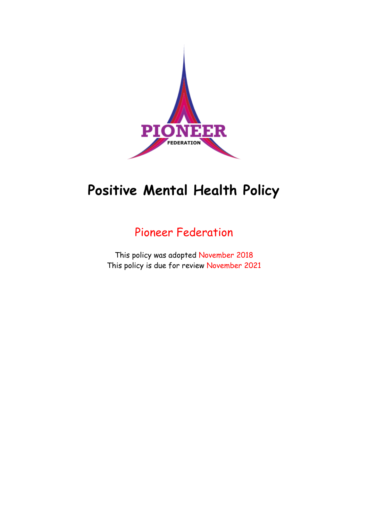

# **Positive Mental Health Policy**

## Pioneer Federation

This policy was adopted November 2018 This policy is due for review November 2021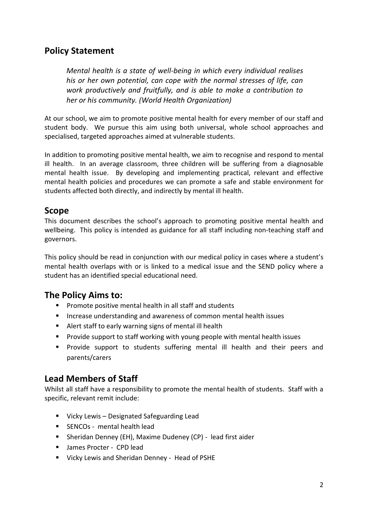## **Policy Statement**

*Mental health is a state of well-being in which every individual realises his or her own potential, can cope with the normal stresses of life, can work productively and fruitfully, and is able to make a contribution to her or his community. (World Health Organization)*

At our school, we aim to promote positive mental health for every member of our staff and student body. We pursue this aim using both universal, whole school approaches and specialised, targeted approaches aimed at vulnerable students.

In addition to promoting positive mental health, we aim to recognise and respond to mental ill health. In an average classroom, three children will be suffering from a diagnosable mental health issue. By developing and implementing practical, relevant and effective mental health policies and procedures we can promote a safe and stable environment for students affected both directly, and indirectly by mental ill health.

## **Scope**

This document describes the school's approach to promoting positive mental health and wellbeing. This policy is intended as guidance for all staff including non-teaching staff and governors.

This policy should be read in conjunction with our medical policy in cases where a student's mental health overlaps with or is linked to a medical issue and the SEND policy where a student has an identified special educational need.

## **The Policy Aims to:**

- Promote positive mental health in all staff and students
- Increase understanding and awareness of common mental health issues
- Alert staff to early warning signs of mental ill health
- Provide support to staff working with young people with mental health issues
- Provide support to students suffering mental ill health and their peers and parents/carers

## **Lead Members of Staff**

Whilst all staff have a responsibility to promote the mental health of students. Staff with a specific, relevant remit include:

- Vicky Lewis Designated Safeguarding Lead
- SENCOs mental health lead
- Sheridan Denney (EH), Maxime Dudeney (CP) lead first aider
- James Procter CPD lead
- Vicky Lewis and Sheridan Denney Head of PSHE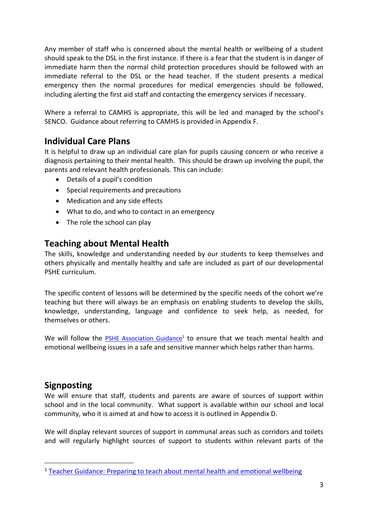Any member of staff who is concerned about the mental health or wellbeing of a student should speak to the DSL in the first instance. If there is a fear that the student is in danger of immediate harm then the normal child protection procedures should be followed with an immediate referral to the DSL or the head teacher. If the student presents a medical emergency then the normal procedures for medical emergencies should be followed, including alerting the first aid staff and contacting the emergency services if necessary.

Where a referral to CAMHS is appropriate, this will be led and managed by the school's SENCO. Guidance about referring to CAMHS is provided in Appendix F.

## **Individual Care Plans**

It is helpful to draw up an individual care plan for pupils causing concern or who receive a diagnosis pertaining to their mental health. This should be drawn up involving the pupil, the parents and relevant health professionals. This can include:

- Details of a pupil's condition
- Special requirements and precautions
- Medication and any side effects
- What to do, and who to contact in an emergency
- The role the school can play

## **Teaching about Mental Health**

The skills, knowledge and understanding needed by our students to keep themselves and others physically and mentally healthy and safe are included as part of our developmental PSHE curriculum.

The specific content of lessons will be determined by the specific needs of the cohort we're teaching but there will always be an emphasis on enabling students to develop the skills, knowledge, understanding, language and confidence to seek help, as needed, for themselves or others.

We will follow the [PSHE Association Guidance](http://www.inourhands.com/wp-content/uploads/2015/03/Preparing-to-teach-about-mental-health-and-emotional-wellbeing-PSHE-Association-March-2015-FINAL.pdf)<sup>1</sup> to ensure that we teach mental health and emotional wellbeing issues in a safe and sensitive manner which helps rather than harms.

## **Signposting**

 $\overline{a}$ 

We will ensure that staff, students and parents are aware of sources of support within school and in the local community. What support is available within our school and local community, who it is aimed at and how to access it is outlined in Appendix D.

We will display relevant sources of support in communal areas such as corridors and toilets and will regularly highlight sources of support to students within relevant parts of the

<sup>1</sup> [Teacher Guidance: Preparing to teach about mental health and emotional wellbeing](http://www.inourhands.com/wp-content/uploads/2015/03/Preparing-to-teach-about-mental-health-and-emotional-wellbeing-PSHE-Association-March-2015-FINAL.pdf)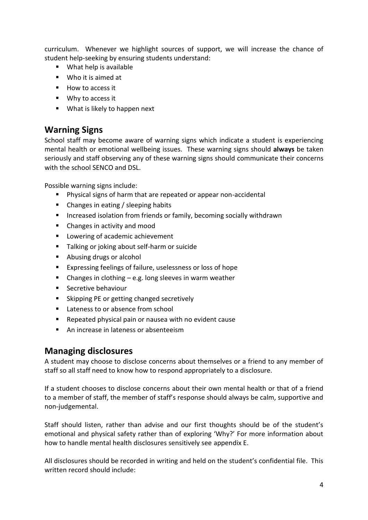curriculum. Whenever we highlight sources of support, we will increase the chance of student help-seeking by ensuring students understand:

- What help is available
- Who it is aimed at
- How to access it
- Why to access it
- What is likely to happen next

### **Warning Signs**

School staff may become aware of warning signs which indicate a student is experiencing mental health or emotional wellbeing issues. These warning signs should **always** be taken seriously and staff observing any of these warning signs should communicate their concerns with the school SENCO and DSL.

Possible warning signs include:

- Physical signs of harm that are repeated or appear non-accidental
- Changes in eating / sleeping habits
- Increased isolation from friends or family, becoming socially withdrawn
- Changes in activity and mood
- Lowering of academic achievement
- Talking or joking about self-harm or suicide
- Abusing drugs or alcohol
- Expressing feelings of failure, uselessness or loss of hope
- Changes in clothing e.g. long sleeves in warm weather
- Secretive behaviour
- Skipping PE or getting changed secretively
- Lateness to or absence from school
- Repeated physical pain or nausea with no evident cause
- An increase in lateness or absenteeism

#### **Managing disclosures**

A student may choose to disclose concerns about themselves or a friend to any member of staff so all staff need to know how to respond appropriately to a disclosure.

If a student chooses to disclose concerns about their own mental health or that of a friend to a member of staff, the member of staff's response should always be calm, supportive and non-judgemental.

Staff should listen, rather than advise and our first thoughts should be of the student's emotional and physical safety rather than of exploring 'Why?' For more information about how to handle mental health disclosures sensitively see appendix E.

All disclosures should be recorded in writing and held on the student's confidential file. This written record should include: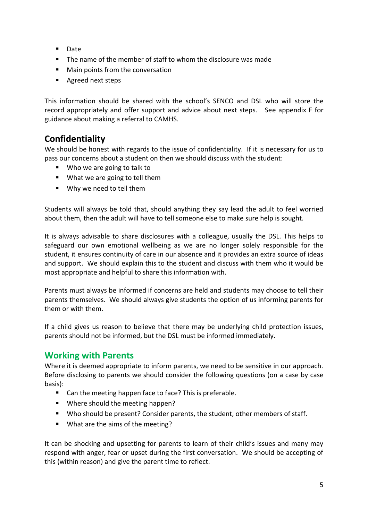- Date
- The name of the member of staff to whom the disclosure was made
- Main points from the conversation
- Agreed next steps

This information should be shared with the school's SENCO and DSL who will store the record appropriately and offer support and advice about next steps. See appendix F for guidance about making a referral to CAMHS.

## **Confidentiality**

We should be honest with regards to the issue of confidentiality. If it is necessary for us to pass our concerns about a student on then we should discuss with the student:

- Who we are going to talk to
- What we are going to tell them
- Why we need to tell them

Students will always be told that, should anything they say lead the adult to feel worried about them, then the adult will have to tell someone else to make sure help is sought.

It is always advisable to share disclosures with a colleague, usually the DSL. This helps to safeguard our own emotional wellbeing as we are no longer solely responsible for the student, it ensures continuity of care in our absence and it provides an extra source of ideas and support. We should explain this to the student and discuss with them who it would be most appropriate and helpful to share this information with.

Parents must always be informed if concerns are held and students may choose to tell their parents themselves. We should always give students the option of us informing parents for them or with them.

If a child gives us reason to believe that there may be underlying child protection issues, parents should not be informed, but the DSL must be informed immediately.

#### **Working with Parents**

Where it is deemed appropriate to inform parents, we need to be sensitive in our approach. Before disclosing to parents we should consider the following questions (on a case by case basis):

- Can the meeting happen face to face? This is preferable.
- Where should the meeting happen?
- Who should be present? Consider parents, the student, other members of staff.
- What are the aims of the meeting?

It can be shocking and upsetting for parents to learn of their child's issues and many may respond with anger, fear or upset during the first conversation. We should be accepting of this (within reason) and give the parent time to reflect.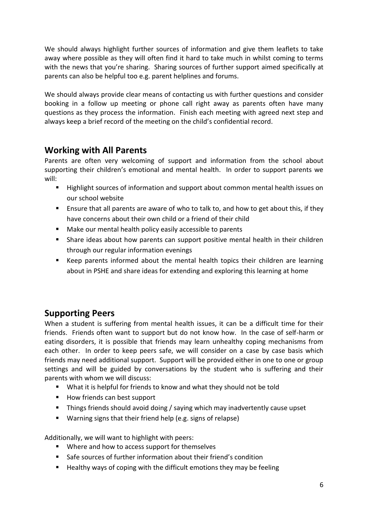We should always highlight further sources of information and give them leaflets to take away where possible as they will often find it hard to take much in whilst coming to terms with the news that you're sharing. Sharing sources of further support aimed specifically at parents can also be helpful too e.g. parent helplines and forums.

We should always provide clear means of contacting us with further questions and consider booking in a follow up meeting or phone call right away as parents often have many questions as they process the information. Finish each meeting with agreed next step and always keep a brief record of the meeting on the child's confidential record.

## **Working with All Parents**

Parents are often very welcoming of support and information from the school about supporting their children's emotional and mental health. In order to support parents we will:

- Highlight sources of information and support about common mental health issues on our school website
- Ensure that all parents are aware of who to talk to, and how to get about this, if they have concerns about their own child or a friend of their child
- Make our mental health policy easily accessible to parents
- Share ideas about how parents can support positive mental health in their children through our regular information evenings
- Keep parents informed about the mental health topics their children are learning about in PSHE and share ideas for extending and exploring this learning at home

## **Supporting Peers**

When a student is suffering from mental health issues, it can be a difficult time for their friends. Friends often want to support but do not know how. In the case of self-harm or eating disorders, it is possible that friends may learn unhealthy coping mechanisms from each other. In order to keep peers safe, we will consider on a case by case basis which friends may need additional support. Support will be provided either in one to one or group settings and will be guided by conversations by the student who is suffering and their parents with whom we will discuss:

- What it is helpful for friends to know and what they should not be told
- How friends can best support
- Things friends should avoid doing / saying which may inadvertently cause upset
- Warning signs that their friend help (e.g. signs of relapse)

Additionally, we will want to highlight with peers:

- Where and how to access support for themselves
- Safe sources of further information about their friend's condition
- Healthy ways of coping with the difficult emotions they may be feeling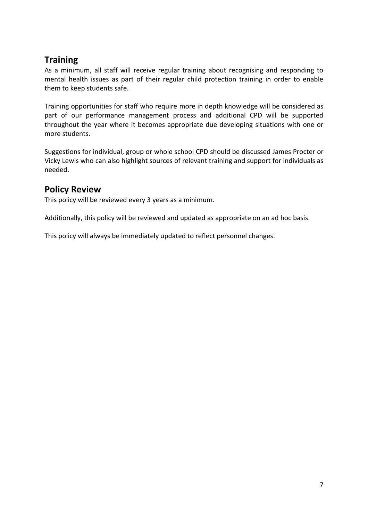## **Training**

As a minimum, all staff will receive regular training about recognising and responding to mental health issues as part of their regular child protection training in order to enable them to keep students safe.

Training opportunities for staff who require more in depth knowledge will be considered as part of our performance management process and additional CPD will be supported throughout the year where it becomes appropriate due developing situations with one or more students.

Suggestions for individual, group or whole school CPD should be discussed James Procter or Vicky Lewis who can also highlight sources of relevant training and support for individuals as needed.

## **Policy Review**

This policy will be reviewed every 3 years as a minimum.

Additionally, this policy will be reviewed and updated as appropriate on an ad hoc basis.

This policy will always be immediately updated to reflect personnel changes.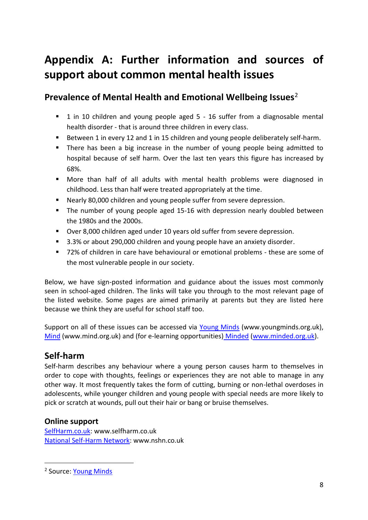## **Appendix A: Further information and sources of support about common mental health issues**

## **Prevalence of Mental Health and Emotional Wellbeing Issues**<sup>2</sup>

- 1 in 10 children and young people aged 5 16 suffer from a diagnosable mental health disorder - that is around three children in every class.
- Between 1 in every 12 and 1 in 15 children and young people deliberately self-harm.
- There has been a big increase in the number of young people being admitted to hospital because of self harm. Over the last ten years this figure has increased by 68%.
- More than half of all adults with mental health problems were diagnosed in childhood. Less than half were treated appropriately at the time.
- Nearly 80,000 children and young people suffer from severe depression.
- The number of young people aged 15-16 with depression nearly doubled between the 1980s and the 2000s.
- Over 8,000 children aged under 10 years old suffer from severe depression.
- 3.3% or about 290,000 children and young people have an anxiety disorder.
- 72% of children in care have behavioural or emotional problems these are some of the most vulnerable people in our society.

Below, we have sign-posted information and guidance about the issues most commonly seen in school-aged children. The links will take you through to the most relevant page of the listed website. Some pages are aimed primarily at parents but they are listed here because we think they are useful for school staff too.

Support on all of these issues can be accessed via [Young Minds](http://www.youngminds.org.uk/for_parents/whats_worrying_you_about_your_child/self-harm) (www.youngminds.org.uk), [Mind](http://www.mind.org.uk/information-support/types-of-mental-health-problems/self-harm/#.VMxpXsbA67s) (www.mind.org.uk) and (for e-learning opportunities) [Minded](https://www.minded.org.uk/course/view.php?id=89) [\(www.minded.org.uk\)](http://www.minded.org.uk/).

## **Self-harm**

Self-harm describes any behaviour where a young person causes harm to themselves in order to cope with thoughts, feelings or experiences they are not able to manage in any other way. It most frequently takes the form of cutting, burning or non-lethal overdoses in adolescents, while younger children and young people with special needs are more likely to pick or scratch at wounds, pull out their hair or bang or bruise themselves.

#### **Online support**

[SelfHarm.co.uk:](https://www.selfharm.co.uk/) www.selfharm.co.uk [National Self-Harm Network:](http://www.nshn.co.uk/) www.nshn.co.uk

 $\overline{a}$ 

<sup>2</sup> Source: [Young Minds](http://www.youngminds.org.uk/training_services/policy/mental_health_statistics)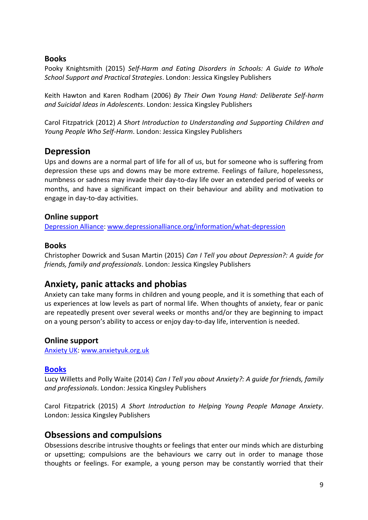#### **Books**

Pooky Knightsmith (2015) *Self-Harm and Eating Disorders in Schools: A Guide to Whole School Support and Practical Strategies*. London: Jessica Kingsley Publishers

Keith Hawton and Karen Rodham (2006) *By Their Own Young Hand: Deliberate Self-harm and Suicidal Ideas in Adolescents*. London: Jessica Kingsley Publishers

Carol Fitzpatrick (2012) *A Short Introduction to Understanding and Supporting Children and Young People Who Self-Harm*. London: Jessica Kingsley Publishers

### **Depression**

Ups and downs are a normal part of life for all of us, but for someone who is suffering from depression these ups and downs may be more extreme. Feelings of failure, hopelessness, numbness or sadness may invade their day-to-day life over an extended period of weeks or months, and have a significant impact on their behaviour and ability and motivation to engage in day-to-day activities.

#### **Online support**

[Depression Alliance: www.depressionalliance.org/information/what-depression](http://www.depressionalliance.org/information/what-depression)

#### **Books**

Christopher Dowrick and Susan Martin (2015) *Can I Tell you about Depression?: A guide for friends, family and professionals*. London: Jessica Kingsley Publishers

## **Anxiety, panic attacks and phobias**

Anxiety can take many forms in children and young people, and it is something that each of us experiences at low levels as part of normal life. When thoughts of anxiety, fear or panic are repeatedly present over several weeks or months and/or they are beginning to impact on a young person's ability to access or enjoy day-to-day life, intervention is needed.

#### **Online support**

[Anxiety UK:](https://www.anxietyuk.org.uk/) [www.anxietyuk.org.uk](http://www.anxietyuk.org.uk/)

#### **Books**

Lucy Willetts and Polly Waite (2014) *Can I Tell you about Anxiety?: A guide for friends, family and professionals*. London: Jessica Kingsley Publishers

Carol Fitzpatrick (2015) *A Short Introduction to Helping Young People Manage Anxiety*. London: Jessica Kingsley Publishers

#### **Obsessions and compulsions**

Obsessions describe intrusive thoughts or feelings that enter our minds which are disturbing or upsetting; compulsions are the behaviours we carry out in order to manage those thoughts or feelings. For example, a young person may be constantly worried that their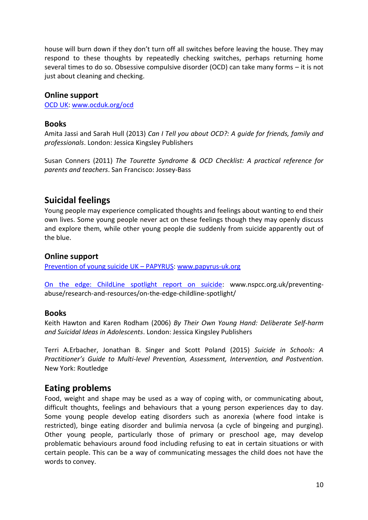house will burn down if they don't turn off all switches before leaving the house. They may respond to these thoughts by repeatedly checking switches, perhaps returning home several times to do so. Obsessive compulsive disorder (OCD) can take many forms – it is not just about cleaning and checking.

#### **Online support**

[OCD UK:](http://www.ocduk.org/ocd) [www.ocduk.org/ocd](http://www.ocduk.org/ocd)

#### **Books**

Amita Jassi and Sarah Hull (2013) *Can I Tell you about OCD?: A guide for friends, family and professionals*. London: Jessica Kingsley Publishers

Susan Conners (2011) *The Tourette Syndrome & OCD Checklist: A practical reference for parents and teachers*. San Francisco: Jossey-Bass

## **Suicidal feelings**

Young people may experience complicated thoughts and feelings about wanting to end their own lives. Some young people never act on these feelings though they may openly discuss and explore them, while other young people die suddenly from suicide apparently out of the blue.

#### **Online support**

[Prevention of young suicide UK](https://www.papyrus-uk.org/) – PAPYRUS: [www.papyrus-uk.org](http://www.papyrus-uk.org/)

[On the edge: ChildLine spotlight report on suicide:](http://www.nspcc.org.uk/preventing-abuse/research-and-resources/on-the-edge-childline-spotlight/) www.nspcc.org.uk/preventingabuse/research-and-resources/on-the-edge-childline-spotlight/

#### **Books**

Keith Hawton and Karen Rodham (2006) *By Their Own Young Hand: Deliberate Self-harm and Suicidal Ideas in Adolescents*. London: Jessica Kingsley Publishers

Terri A.Erbacher, Jonathan B. Singer and Scott Poland (2015) *Suicide in Schools: A Practitioner's Guide to Multi-level Prevention, Assessment, Intervention, and Postvention*. New York: Routledge

#### **Eating problems**

Food, weight and shape may be used as a way of coping with, or communicating about, difficult thoughts, feelings and behaviours that a young person experiences day to day. Some young people develop eating disorders such as anorexia (where food intake is restricted), binge eating disorder and bulimia nervosa (a cycle of bingeing and purging). Other young people, particularly those of primary or preschool age, may develop problematic behaviours around food including refusing to eat in certain situations or with certain people. This can be a way of communicating messages the child does not have the words to convey.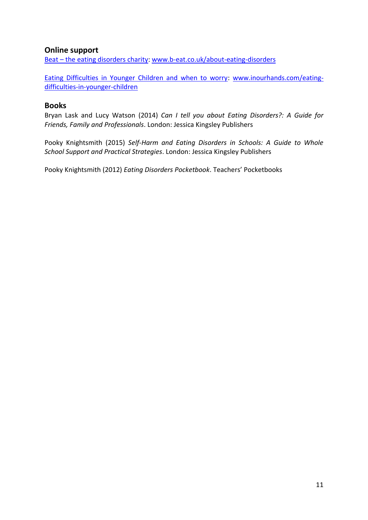#### **Online support**

Beat – [the eating disorders charity:](http://www.b-eat.co.uk/get-help/about-eating-disorders/) [www.b-eat.co.uk/about-eating-disorders](http://www.b-eat.co.uk/about-eating-disorders)

[Eating Difficulties in Younger Children and when to worry:](http://www.inourhands.com/eating-difficulties-in-younger-children/) [www.inourhands.com/eating](http://www.inourhands.com/eating-difficulties-in-younger-children)[difficulties-in-younger-children](http://www.inourhands.com/eating-difficulties-in-younger-children)

#### **Books**

Bryan Lask and Lucy Watson (2014) *Can I tell you about Eating Disorders?: A Guide for Friends, Family and Professionals*. London: Jessica Kingsley Publishers

Pooky Knightsmith (2015) *Self-Harm and Eating Disorders in Schools: A Guide to Whole School Support and Practical Strategies*. London: Jessica Kingsley Publishers

Pooky Knightsmith (2012) *Eating Disorders Pocketbook*. Teachers' Pocketbooks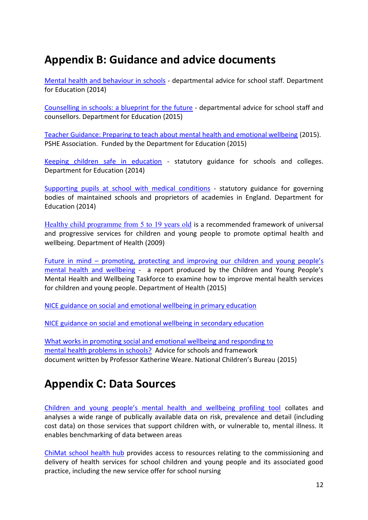## **Appendix B: Guidance and advice documents**

[Mental health and behaviour in schools](http://www.gov.uk/government/publications/mental-health-and-behaviour-in-schools--2) - departmental advice for school staff. Department for Education (2014)

[Counselling in schools: a blueprint for the future](https://www.gov.uk/government/uploads/system/uploads/attachment_data/file/416326/Counselling_in_schools_-240315.pdf) - departmental advice for school staff and counsellors. Department for Education (2015)

[Teacher Guidance: Preparing to teach about mental health and emotional wellbeing](http://www.inourhands.com/wp-content/uploads/2015/03/Preparing-to-teach-about-mental-health-and-emotional-wellbeing-PSHE-Association-March-2015-FINAL.pdf) (2015). PSHE Association. Funded by the Department for Education (2015)

[Keeping children safe in education](http://www.gov.uk/government/uploads/system/uploads/attachment_data/file/372753/Keeping%20_children_safe_in_education.pdf) - statutory guidance for schools and colleges. Department for Education (2014)

[Supporting pupils at school with medical conditions](http://www.gov.uk/government/uploads/system/uploads/attachment_data/file/349435/Statutor%20y_guidance_on_supporting_pupils_at_school_with_medical_conditions.pdf) - statutory guidance for governing bodies of maintained schools and proprietors of academies in England. Department for Education (2014)

[Healthy child programme from 5 to 19 years old](file:///C:/Users/User/Downloads/webarchive.nationalarchives.gov.uk/20130107105354/http:/www.dh.gov.uk/prod_consu%20m_dh/groups/dh_digitalassets/documents/digitalasset/dh_108866.pdf) is a recommended framework of universal and progressive services for children and young people to promote optimal health and wellbeing. Department of Health (2009)

Future in mind – [promoting, protecting and improving our children and youn](https://www.gov.uk/government/uploads/system/uploads/attachment_data/file/414024/Childrens_Mental_Health.pdf)g people's [mental health and wellbeing](https://www.gov.uk/government/uploads/system/uploads/attachment_data/file/414024/Childrens_Mental_Health.pdf) - a report produced by the Children and Young People's Mental Health and Wellbeing Taskforce to examine how to improve mental health services for children and young people. Department of Health (2015)

[NICE guidance on social and emotional wellbeing in primary education](file:///C:/Users/User/Downloads/publications.nice.org.uk/social-and-emotional-wellbeing-in-primary-education-ph12)

[NICE guidance on social and emotional wellbeing in secondary education](http://www.nice.org.uk/guidance/ph20) 

[What works in promoting social and emotional wellbeing and responding to](http://www.ncb.org.uk/areas-of-activity/education-and-learning/partnership-for-well-being-and-mental-health-in-schools/what-works-guidance-for-schools)  [mental health problems in schools?](http://www.ncb.org.uk/areas-of-activity/education-and-learning/partnership-for-well-being-and-mental-health-in-schools/what-works-guidance-for-schools) Advice for schools and framework document written by Professor Katherine Weare. National Children's Bureau (2015)

## **Appendix C: Data Sources**

[Children and young people's mental health and wellbeing profiling tool](file:///C:/Users/User/Downloads/fingertips.phe.org.uk/profile-group/mental-health/profile/cypmh) collates and analyses a wide range of publically available data on risk, prevalence and detail (including cost data) on those services that support children with, or vulnerable to, mental illness. It enables benchmarking of data between areas

[ChiMat school health hub](http://www.chimat.org.uk/schoolhealth) provides access to resources relating to the commissioning and delivery of health services for school children and young people and its associated good practice, including the new service offer for school nursing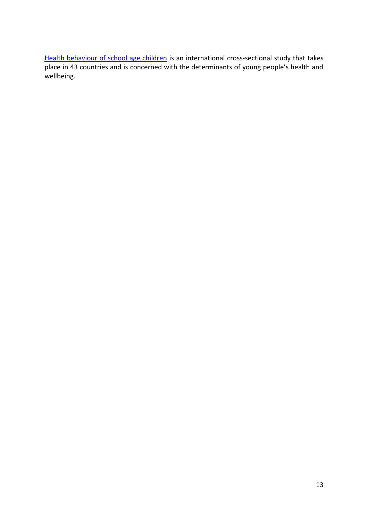[Health behaviour of school age children](http://www.hbsc.org/) is an international cross-sectional study that takes place in 43 countries and is concerned with the determinants of young people's health and wellbeing.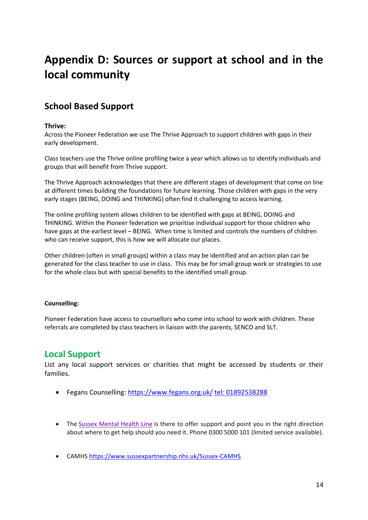## **Appendix D: Sources or support at school and in the local community**

## **School Based Support**

#### **Thrive:**

Across the Pioneer Federation we use The Thrive Approach to support children with gaps in their early development.

Class teachers use the Thrive online profiling twice a year which allows us to identify individuals and groups that will benefit from Thrive support.

The Thrive Approach acknowledges that there are different stages of development that come on line at different times building the foundations for future learning. Those children with gaps in the very early stages (BEING, DOING and THINKING) often find it challenging to access learning.

The online profiling system allows children to be identified with gaps at BEING, DOING and THINKING. Within the Pioneer federation we prioritise individual support for those children who have gaps at the earliest level – BEING. When time is limited and controls the numbers of children who can receive support, this is how we will allocate our places.

Other children (often in small groups) within a class may be identified and an action plan can be generated for the class teacher to use in class. This may be for small group work or strategies to use for the whole class but with special benefits to the identified small group.

#### **Counselling:**

Pioneer Federation have access to counsellors who come into school to work with children. These referrals are completed by class teachers in liaison with the parents, SENCO and SLT.

## **Local Support**

List any local support services or charities that might be accessed by students or their families.

- Fegans Counselling[: https://www.fegans.org.uk/](https://www.fegans.org.uk/) tel: [01892538288](tel:01892538288)
- The [Sussex Mental Health Line](https://www.sussexpartnership.nhs.uk/sussex-mental-healthline) is there to offer support and point you in the right direction about where to get help should you need it. Phone 0300 5000 101 (limited service available).
- CAMHS<https://www.sussexpartnership.nhs.uk/Sussex-CAMHS>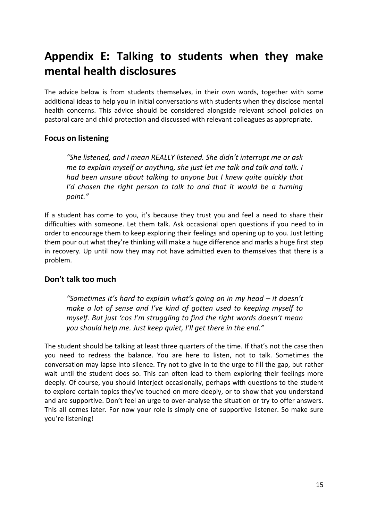## **Appendix E: Talking to students when they make mental health disclosures**

The advice below is from students themselves, in their own words, together with some additional ideas to help you in initial conversations with students when they disclose mental health concerns. This advice should be considered alongside relevant school policies on pastoral care and child protection and discussed with relevant colleagues as appropriate.

#### **Focus on listening**

*"She listened, and I mean REALLY listened. She didn't interrupt me or ask me to explain myself or anything, she just let me talk and talk and talk. I had been unsure about talking to anyone but I knew quite quickly that I'd chosen the right person to talk to and that it would be a turning point."* 

If a student has come to you, it's because they trust you and feel a need to share their difficulties with someone. Let them talk. Ask occasional open questions if you need to in order to encourage them to keep exploring their feelings and opening up to you. Just letting them pour out what they're thinking will make a huge difference and marks a huge first step in recovery. Up until now they may not have admitted even to themselves that there is a problem.

#### **Don't talk too much**

*"Sometimes it's hard to explain what's going on in my head – it doesn't make a lot of sense and I've kind of gotten used to keeping myself to myself. But just 'cos I'm struggling to find the right words doesn't mean you should help me. Just keep quiet, I'll get there in the end."* 

The student should be talking at least three quarters of the time. If that's not the case then you need to redress the balance. You are here to listen, not to talk. Sometimes the conversation may lapse into silence. Try not to give in to the urge to fill the gap, but rather wait until the student does so. This can often lead to them exploring their feelings more deeply. Of course, you should interject occasionally, perhaps with questions to the student to explore certain topics they've touched on more deeply, or to show that you understand and are supportive. Don't feel an urge to over-analyse the situation or try to offer answers. This all comes later. For now your role is simply one of supportive listener. So make sure you're listening!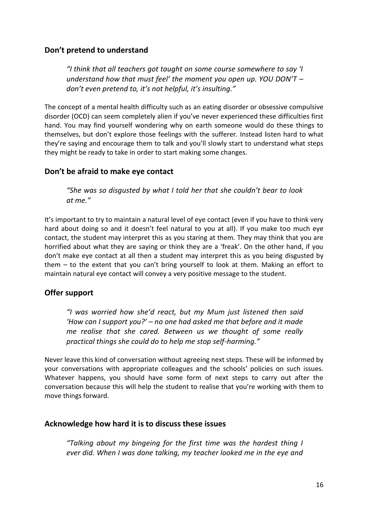#### **Don't pretend to understand**

*"I think that all teachers got taught on some course somewhere to say 'I understand how that must feel' the moment you open up. YOU DON'T – don't even pretend to, it's not helpful, it's insulting."* 

The concept of a mental health difficulty such as an eating disorder or obsessive compulsive disorder (OCD) can seem completely alien if you've never experienced these difficulties first hand. You may find yourself wondering why on earth someone would do these things to themselves, but don't explore those feelings with the sufferer. Instead listen hard to what they're saying and encourage them to talk and you'll slowly start to understand what steps they might be ready to take in order to start making some changes.

#### **Don't be afraid to make eye contact**

*"She was so disgusted by what I told her that she couldn't bear to look at me."* 

It's important to try to maintain a natural level of eye contact (even if you have to think very hard about doing so and it doesn't feel natural to you at all). If you make too much eye contact, the student may interpret this as you staring at them. They may think that you are horrified about what they are saying or think they are a 'freak'. On the other hand, if you don't make eye contact at all then a student may interpret this as you being disgusted by them – to the extent that you can't bring yourself to look at them. Making an effort to maintain natural eye contact will convey a very positive message to the student.

#### **Offer support**

*"I was worried how she'd react, but my Mum just listened then said 'How can I support you?' – no one had asked me that before and it made me realise that she cared. Between us we thought of some really practical things she could do to help me stop self-harming."* 

Never leave this kind of conversation without agreeing next steps. These will be informed by your conversations with appropriate colleagues and the schools' policies on such issues. Whatever happens, you should have some form of next steps to carry out after the conversation because this will help the student to realise that you're working with them to move things forward.

#### **Acknowledge how hard it is to discuss these issues**

*"Talking about my bingeing for the first time was the hardest thing I ever did. When I was done talking, my teacher looked me in the eye and*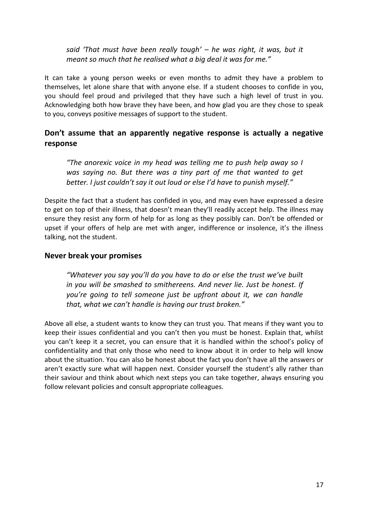*said 'That must have been really tough' – he was right, it was, but it meant so much that he realised what a big deal it was for me."* 

It can take a young person weeks or even months to admit they have a problem to themselves, let alone share that with anyone else. If a student chooses to confide in you, you should feel proud and privileged that they have such a high level of trust in you. Acknowledging both how brave they have been, and how glad you are they chose to speak to you, conveys positive messages of support to the student.

#### **Don't assume that an apparently negative response is actually a negative response**

*"The anorexic voice in my head was telling me to push help away so I was saying no. But there was a tiny part of me that wanted to get better. I just couldn't say it out loud or else I'd have to punish myself."* 

Despite the fact that a student has confided in you, and may even have expressed a desire to get on top of their illness, that doesn't mean they'll readily accept help. The illness may ensure they resist any form of help for as long as they possibly can. Don't be offended or upset if your offers of help are met with anger, indifference or insolence, it's the illness talking, not the student.

#### **Never break your promises**

*"Whatever you say you'll do you have to do or else the trust we've built in you will be smashed to smithereens. And never lie. Just be honest. If you're going to tell someone just be upfront about it, we can handle that, what we can't handle is having our trust broken."* 

Above all else, a student wants to know they can trust you. That means if they want you to keep their issues confidential and you can't then you must be honest. Explain that, whilst you can't keep it a secret, you can ensure that it is handled within the school's policy of confidentiality and that only those who need to know about it in order to help will know about the situation. You can also be honest about the fact you don't have all the answers or aren't exactly sure what will happen next. Consider yourself the student's ally rather than their saviour and think about which next steps you can take together, always ensuring you follow relevant policies and consult appropriate colleagues.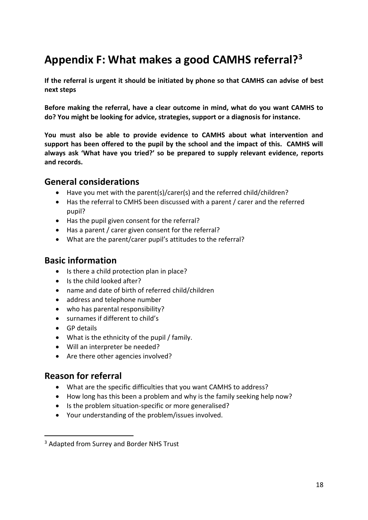## **Appendix F: What makes a good CAMHS referral?<sup>3</sup>**

**If the referral is urgent it should be initiated by phone so that CAMHS can advise of best next steps**

**Before making the referral, have a clear outcome in mind, what do you want CAMHS to do? You might be looking for advice, strategies, support or a diagnosis for instance.** 

**You must also be able to provide evidence to CAMHS about what intervention and support has been offered to the pupil by the school and the impact of this. CAMHS will always ask 'What have you tried?' so be prepared to supply relevant evidence, reports and records.** 

### **General considerations**

- Have you met with the parent(s)/carer(s) and the referred child/children?
- Has the referral to CMHS been discussed with a parent / carer and the referred pupil?
- Has the pupil given consent for the referral?
- Has a parent / carer given consent for the referral?
- What are the parent/carer pupil's attitudes to the referral?

### **Basic information**

- Is there a child protection plan in place?
- Is the child looked after?
- name and date of birth of referred child/children
- address and telephone number
- who has parental responsibility?
- surnames if different to child's
- GP details
- What is the ethnicity of the pupil / family.
- Will an interpreter be needed?
- Are there other agencies involved?

## **Reason for referral**

-

- What are the specific difficulties that you want CAMHS to address?
- How long has this been a problem and why is the family seeking help now?
- Is the problem situation-specific or more generalised?
- Your understanding of the problem/issues involved.

<sup>&</sup>lt;sup>3</sup> Adapted from Surrey and Border NHS Trust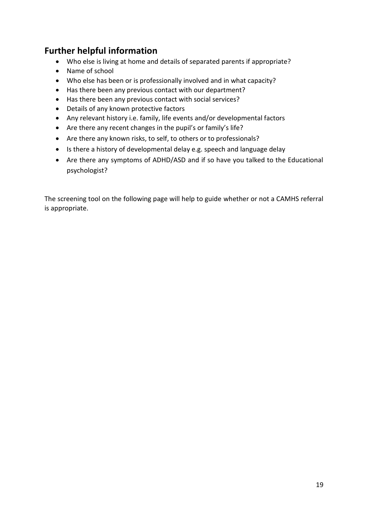## **Further helpful information**

- Who else is living at home and details of separated parents if appropriate?
- Name of school
- Who else has been or is professionally involved and in what capacity?
- Has there been any previous contact with our department?
- Has there been any previous contact with social services?
- Details of any known protective factors
- Any relevant history i.e. family, life events and/or developmental factors
- Are there any recent changes in the pupil's or family's life?
- Are there any known risks, to self, to others or to professionals?
- Is there a history of developmental delay e.g. speech and language delay
- Are there any symptoms of ADHD/ASD and if so have you talked to the Educational psychologist?

The screening tool on the following page will help to guide whether or not a CAMHS referral is appropriate.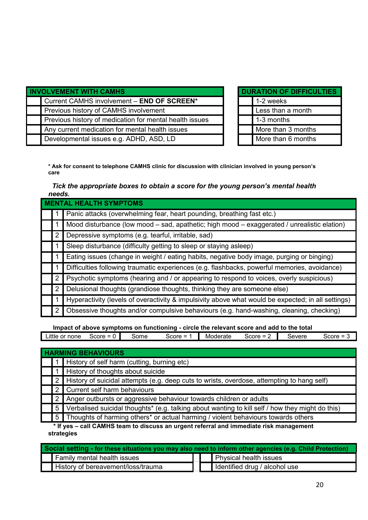| <b>INVOLVEMENT WITH CAMHS</b>                           |  | <b>DURATION OF DIFFICULTIES</b> |  |
|---------------------------------------------------------|--|---------------------------------|--|
| Current CAMHS involvement - END OF SCREEN*              |  | 1-2 weeks                       |  |
| Previous history of CAMHS involvement                   |  | Less than a month               |  |
| Previous history of medication for mental health issues |  | 1-3 months                      |  |
| Any current medication for mental health issues         |  | More than 3 months              |  |
| Developmental issues e.g. ADHD, ASD, LD                 |  | More than 6 months              |  |

| <b>DURATION OF DIFFICULTIES</b> |  |  |  |  |  |
|---------------------------------|--|--|--|--|--|
| 1-2 weeks                       |  |  |  |  |  |
| Less than a month               |  |  |  |  |  |
| 1-3 months                      |  |  |  |  |  |
| More than 3 months              |  |  |  |  |  |
| More than 6 months              |  |  |  |  |  |

**\* Ask for consent to telephone CAMHS clinic for discussion with clinician involved in young person's care**

#### *Tick the appropriate boxes to obtain a score for the young person's mental health needs.*

| <b>MENTAL HEALTH SYMPTOMS</b> |                                                                                                    |  |  |  |  |
|-------------------------------|----------------------------------------------------------------------------------------------------|--|--|--|--|
|                               | Panic attacks (overwhelming fear, heart pounding, breathing fast etc.)                             |  |  |  |  |
|                               | Mood disturbance (low mood – sad, apathetic; high mood – exaggerated / unrealistic elation)        |  |  |  |  |
| $\overline{2}$                | Depressive symptoms (e.g. tearful, irritable, sad)                                                 |  |  |  |  |
|                               | Sleep disturbance (difficulty getting to sleep or staying asleep)                                  |  |  |  |  |
|                               | Eating issues (change in weight / eating habits, negative body image, purging or binging)          |  |  |  |  |
|                               | Difficulties following traumatic experiences (e.g. flashbacks, powerful memories, avoidance)       |  |  |  |  |
| $\overline{2}$                | Psychotic symptoms (hearing and / or appearing to respond to voices, overly suspicious)            |  |  |  |  |
| $\overline{2}$                | Delusional thoughts (grandiose thoughts, thinking they are someone else)                           |  |  |  |  |
|                               | Hyperactivity (levels of overactivity & impulsivity above what would be expected; in all settings) |  |  |  |  |
| 2                             | Obsessive thoughts and/or compulsive behaviours (e.g. hand-washing, cleaning, checking)            |  |  |  |  |

| Impact of above symptoms on functioning - circle the relevant score and add to the total |                            |      |             |          |                       |        |           |
|------------------------------------------------------------------------------------------|----------------------------|------|-------------|----------|-----------------------|--------|-----------|
| Little or none                                                                           | Score = $0$ $\blacksquare$ | Some | Score = $1$ | Moderate | Score = $2 \parallel$ | Severe | Score $=$ |

| <b>HARMING BEHAVIOURS</b>                                                                      |                                                                                                    |  |  |  |  |  |
|------------------------------------------------------------------------------------------------|----------------------------------------------------------------------------------------------------|--|--|--|--|--|
|                                                                                                | 1 History of self harm (cutting, burning etc)                                                      |  |  |  |  |  |
|                                                                                                | 1 History of thoughts about suicide                                                                |  |  |  |  |  |
|                                                                                                | 2 History of suicidal attempts (e.g. deep cuts to wrists, overdose, attempting to hang self)       |  |  |  |  |  |
|                                                                                                | 2 Current self harm behaviours                                                                     |  |  |  |  |  |
|                                                                                                | 2 Anger outbursts or aggressive behaviour towards children or adults                               |  |  |  |  |  |
|                                                                                                | 5 Verbalised suicidal thoughts* (e.g. talking about wanting to kill self / how they might do this) |  |  |  |  |  |
|                                                                                                | 5 Thoughts of harming others <sup>*</sup> or actual harming / violent behaviours towards others    |  |  |  |  |  |
| t if you are a life AMLIO to an interest we consider the family and immediate sixty memory and |                                                                                                    |  |  |  |  |  |

 **\* If yes – call CAMHS team to discuss an urgent referral and immediate risk management strategies**

| Social setting - for these situations you may also need to inform other agencies (e.g. Child Protection) |  |  |                               |  |  |  |
|----------------------------------------------------------------------------------------------------------|--|--|-------------------------------|--|--|--|
| <b>Family mental health issues</b>                                                                       |  |  | <b>Physical health issues</b> |  |  |  |
| History of bereavement/loss/trauma                                                                       |  |  | Identified drug / alcohol use |  |  |  |